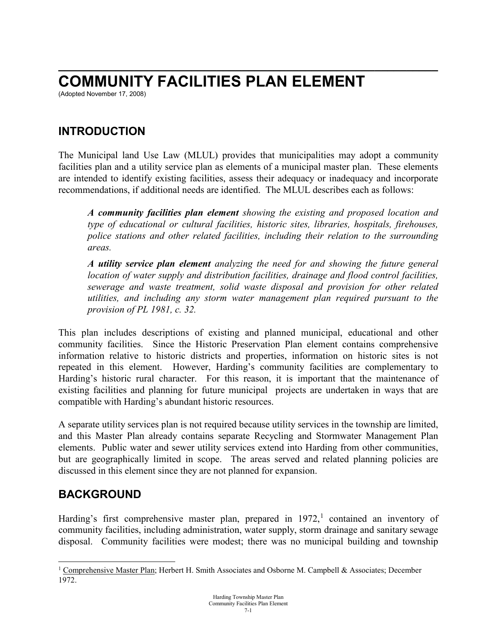## **\_\_\_\_\_\_\_\_\_\_\_\_\_\_\_\_\_\_\_\_\_\_\_\_\_\_\_\_\_\_\_\_\_\_\_\_\_\_\_\_\_\_\_\_\_\_\_\_\_\_\_\_\_\_\_\_\_\_\_\_ COMMUNITY FACILITIES PLAN ELEMENT**

(Adopted November 17, 2008)

## **INTRODUCTION**

The Municipal land Use Law (MLUL) provides that municipalities may adopt a community facilities plan and a utility service plan as elements of a municipal master plan. These elements are intended to identify existing facilities, assess their adequacy or inadequacy and incorporate recommendations, if additional needs are identified. The MLUL describes each as follows:

*A community facilities plan element showing the existing and proposed location and type of educational or cultural facilities, historic sites, libraries, hospitals, firehouses, police stations and other related facilities, including their relation to the surrounding areas.*

*A utility service plan element analyzing the need for and showing the future general location of water supply and distribution facilities, drainage and flood control facilities, sewerage and waste treatment, solid waste disposal and provision for other related utilities, and including any storm water management plan required pursuant to the provision of PL 1981, c. 32.* 

This plan includes descriptions of existing and planned municipal, educational and other community facilities. Since the Historic Preservation Plan element contains comprehensive information relative to historic districts and properties, information on historic sites is not repeated in this element. However, Harding's community facilities are complementary to Harding's historic rural character. For this reason, it is important that the maintenance of existing facilities and planning for future municipal projects are undertaken in ways that are compatible with Harding's abundant historic resources.

A separate utility services plan is not required because utility services in the township are limited, and this Master Plan already contains separate Recycling and Stormwater Management Plan elements. Public water and sewer utility services extend into Harding from other communities, but are geographically limited in scope. The areas served and related planning policies are discussed in this element since they are not planned for expansion.

## **BACKGROUND**

Harding's first comprehensive master plan, prepared in  $1972$  $1972$ , contained an inventory of community facilities, including administration, water supply, storm drainage and sanitary sewage disposal. Community facilities were modest; there was no municipal building and township

<span id="page-0-0"></span><sup>&</sup>lt;sup>1</sup> Comprehensive Master Plan; Herbert H. Smith Associates and Osborne M. Campbell & Associates; December 1972.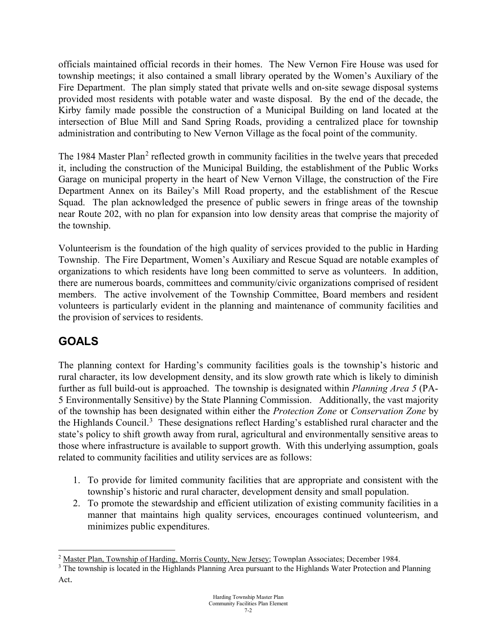officials maintained official records in their homes. The New Vernon Fire House was used for township meetings; it also contained a small library operated by the Women's Auxiliary of the Fire Department. The plan simply stated that private wells and on-site sewage disposal systems provided most residents with potable water and waste disposal. By the end of the decade, the Kirby family made possible the construction of a Municipal Building on land located at the intersection of Blue Mill and Sand Spring Roads, providing a centralized place for township administration and contributing to New Vernon Village as the focal point of the community.

The 1984 Master Plan<sup>[2](#page-1-0)</sup> reflected growth in community facilities in the twelve years that preceded it, including the construction of the Municipal Building, the establishment of the Public Works Garage on municipal property in the heart of New Vernon Village, the construction of the Fire Department Annex on its Bailey's Mill Road property, and the establishment of the Rescue Squad. The plan acknowledged the presence of public sewers in fringe areas of the township near Route 202, with no plan for expansion into low density areas that comprise the majority of the township.

Volunteerism is the foundation of the high quality of services provided to the public in Harding Township. The Fire Department, Women's Auxiliary and Rescue Squad are notable examples of organizations to which residents have long been committed to serve as volunteers. In addition, there are numerous boards, committees and community/civic organizations comprised of resident members. The active involvement of the Township Committee, Board members and resident volunteers is particularly evident in the planning and maintenance of community facilities and the provision of services to residents.

## **GOALS**

The planning context for Harding's community facilities goals is the township's historic and rural character, its low development density, and its slow growth rate which is likely to diminish further as full build-out is approached. The township is designated within *Planning Area 5* (PA-5 Environmentally Sensitive) by the State Planning Commission. Additionally, the vast majority of the township has been designated within either the *Protection Zone* or *Conservation Zone* by the Highlands Council.<sup>[3](#page-1-1)</sup> These designations reflect Harding's established rural character and the state's policy to shift growth away from rural, agricultural and environmentally sensitive areas to those where infrastructure is available to support growth. With this underlying assumption, goals related to community facilities and utility services are as follows:

- 1. To provide for limited community facilities that are appropriate and consistent with the township's historic and rural character, development density and small population.
- 2. To promote the stewardship and efficient utilization of existing community facilities in a manner that maintains high quality services, encourages continued volunteerism, and minimizes public expenditures.

<span id="page-1-0"></span><sup>&</sup>lt;sup>2</sup> Master Plan, Township of Harding, Morris County, New Jersey; Townplan Associates; December 1984.  $\frac{3}{10}$  The township is located in the Highlands Planning Area pursuant to the Highlands Water Protection and Plannin

<span id="page-1-1"></span>Act.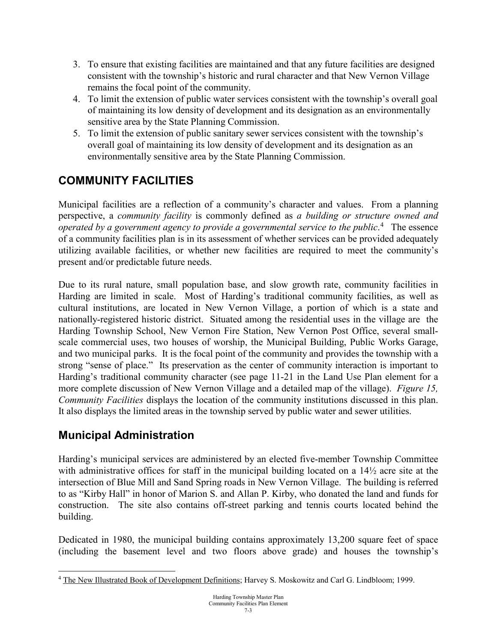- 3. To ensure that existing facilities are maintained and that any future facilities are designed consistent with the township's historic and rural character and that New Vernon Village remains the focal point of the community.
- 4. To limit the extension of public water services consistent with the township's overall goal of maintaining its low density of development and its designation as an environmentally sensitive area by the State Planning Commission.
- 5. To limit the extension of public sanitary sewer services consistent with the township's overall goal of maintaining its low density of development and its designation as an environmentally sensitive area by the State Planning Commission.

# **COMMUNITY FACILITIES**

Municipal facilities are a reflection of a community's character and values. From a planning perspective, a *community facility* is commonly defined as *a building or structure owned and*  operated by a government agency to provide a governmental service to the public.<sup>[4](#page-2-0)</sup> The essence of a community facilities plan is in its assessment of whether services can be provided adequately utilizing available facilities, or whether new facilities are required to meet the community's present and/or predictable future needs.

Due to its rural nature, small population base, and slow growth rate, community facilities in Harding are limited in scale. Most of Harding's traditional community facilities, as well as cultural institutions, are located in New Vernon Village, a portion of which is a state and nationally-registered historic district. Situated among the residential uses in the village are the Harding Township School, New Vernon Fire Station, New Vernon Post Office, several smallscale commercial uses, two houses of worship, the Municipal Building, Public Works Garage, and two municipal parks. It is the focal point of the community and provides the township with a strong "sense of place." Its preservation as the center of community interaction is important to Harding's traditional community character (see page 11-21 in the Land Use Plan element for a more complete discussion of New Vernon Village and a detailed map of the village). *Figure 15, Community Facilities* displays the location of the community institutions discussed in this plan. It also displays the limited areas in the township served by public water and sewer utilities.

## **Municipal Administration**

Harding's municipal services are administered by an elected five-member Township Committee with administrative offices for staff in the municipal building located on a 14½ acre site at the intersection of Blue Mill and Sand Spring roads in New Vernon Village. The building is referred to as "Kirby Hall" in honor of Marion S. and Allan P. Kirby, who donated the land and funds for construction. The site also contains off-street parking and tennis courts located behind the building.

Dedicated in 1980, the municipal building contains approximately 13,200 square feet of space (including the basement level and two floors above grade) and houses the township's

<span id="page-2-0"></span><sup>&</sup>lt;sup>4</sup> The New Illustrated Book of Development Definitions; Harvey S. Moskowitz and Carl G. Lindbloom; 1999.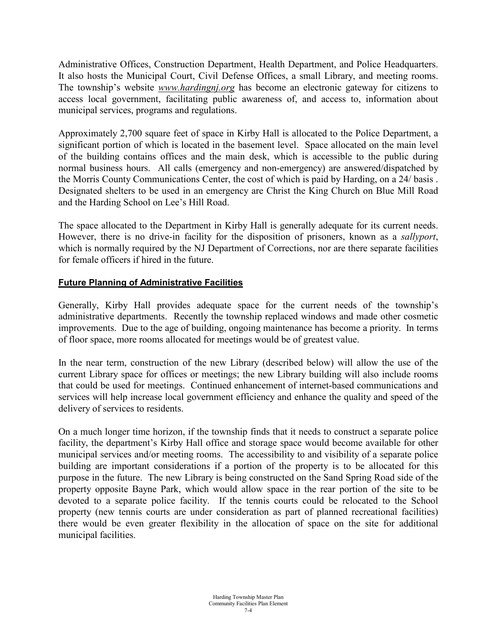Administrative Offices, Construction Department, Health Department, and Police Headquarters. It also hosts the Municipal Court, Civil Defense Offices, a small Library, and meeting rooms. The township's website *www.hardingnj.org* has become an electronic gateway for citizens to access local government, facilitating public awareness of, and access to, information about municipal services, programs and regulations.

Approximately 2,700 square feet of space in Kirby Hall is allocated to the Police Department, a significant portion of which is located in the basement level. Space allocated on the main level of the building contains offices and the main desk, which is accessible to the public during normal business hours. All calls (emergency and non-emergency) are answered/dispatched by the Morris County Communications Center, the cost of which is paid by Harding, on a 24/ basis . Designated shelters to be used in an emergency are Christ the King Church on Blue Mill Road and the Harding School on Lee's Hill Road.

The space allocated to the Department in Kirby Hall is generally adequate for its current needs. However, there is no drive-in facility for the disposition of prisoners, known as a *sallyport*, which is normally required by the NJ Department of Corrections, nor are there separate facilities for female officers if hired in the future.

### **Future Planning of Administrative Facilities**

Generally, Kirby Hall provides adequate space for the current needs of the township's administrative departments. Recently the township replaced windows and made other cosmetic improvements. Due to the age of building, ongoing maintenance has become a priority. In terms of floor space, more rooms allocated for meetings would be of greatest value.

In the near term, construction of the new Library (described below) will allow the use of the current Library space for offices or meetings; the new Library building will also include rooms that could be used for meetings. Continued enhancement of internet-based communications and services will help increase local government efficiency and enhance the quality and speed of the delivery of services to residents.

On a much longer time horizon, if the township finds that it needs to construct a separate police facility, the department's Kirby Hall office and storage space would become available for other municipal services and/or meeting rooms. The accessibility to and visibility of a separate police building are important considerations if a portion of the property is to be allocated for this purpose in the future. The new Library is being constructed on the Sand Spring Road side of the property opposite Bayne Park, which would allow space in the rear portion of the site to be devoted to a separate police facility. If the tennis courts could be relocated to the School property (new tennis courts are under consideration as part of planned recreational facilities) there would be even greater flexibility in the allocation of space on the site for additional municipal facilities.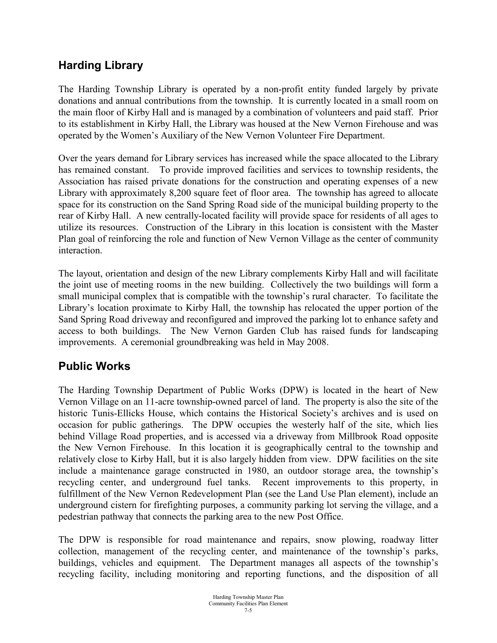## **Harding Library**

The Harding Township Library is operated by a non-profit entity funded largely by private donations and annual contributions from the township. It is currently located in a small room on the main floor of Kirby Hall and is managed by a combination of volunteers and paid staff. Prior to its establishment in Kirby Hall, the Library was housed at the New Vernon Firehouse and was operated by the Women's Auxiliary of the New Vernon Volunteer Fire Department.

Over the years demand for Library services has increased while the space allocated to the Library has remained constant. To provide improved facilities and services to township residents, the Association has raised private donations for the construction and operating expenses of a new Library with approximately 8,200 square feet of floor area. The township has agreed to allocate space for its construction on the Sand Spring Road side of the municipal building property to the rear of Kirby Hall. A new centrally-located facility will provide space for residents of all ages to utilize its resources. Construction of the Library in this location is consistent with the Master Plan goal of reinforcing the role and function of New Vernon Village as the center of community interaction.

The layout, orientation and design of the new Library complements Kirby Hall and will facilitate the joint use of meeting rooms in the new building. Collectively the two buildings will form a small municipal complex that is compatible with the township's rural character. To facilitate the Library's location proximate to Kirby Hall, the township has relocated the upper portion of the Sand Spring Road driveway and reconfigured and improved the parking lot to enhance safety and access to both buildings. The New Vernon Garden Club has raised funds for landscaping improvements. A ceremonial groundbreaking was held in May 2008.

## **Public Works**

The Harding Township Department of Public Works (DPW) is located in the heart of New Vernon Village on an 11-acre township-owned parcel of land. The property is also the site of the historic Tunis-Ellicks House, which contains the Historical Society's archives and is used on occasion for public gatherings. The DPW occupies the westerly half of the site, which lies behind Village Road properties, and is accessed via a driveway from Millbrook Road opposite the New Vernon Firehouse. In this location it is geographically central to the township and relatively close to Kirby Hall, but it is also largely hidden from view. DPW facilities on the site include a maintenance garage constructed in 1980, an outdoor storage area, the township's recycling center, and underground fuel tanks. Recent improvements to this property, in fulfillment of the New Vernon Redevelopment Plan (see the Land Use Plan element), include an underground cistern for firefighting purposes, a community parking lot serving the village, and a pedestrian pathway that connects the parking area to the new Post Office.

The DPW is responsible for road maintenance and repairs, snow plowing, roadway litter collection, management of the recycling center, and maintenance of the township's parks, buildings, vehicles and equipment. The Department manages all aspects of the township's recycling facility, including monitoring and reporting functions, and the disposition of all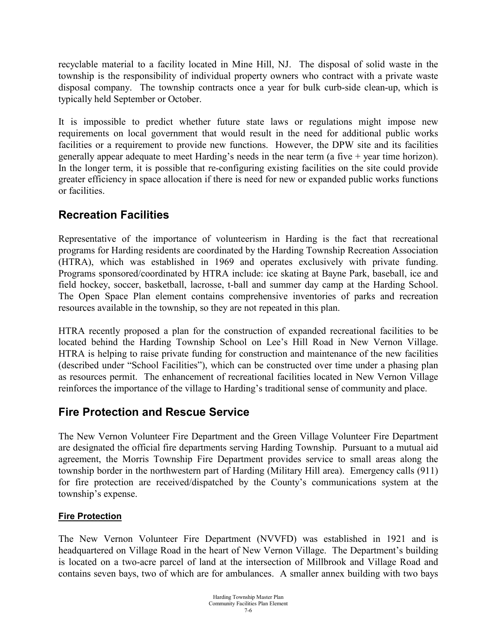recyclable material to a facility located in Mine Hill, NJ. The disposal of solid waste in the township is the responsibility of individual property owners who contract with a private waste disposal company. The township contracts once a year for bulk curb-side clean-up, which is typically held September or October.

It is impossible to predict whether future state laws or regulations might impose new requirements on local government that would result in the need for additional public works facilities or a requirement to provide new functions. However, the DPW site and its facilities generally appear adequate to meet Harding's needs in the near term (a five  $+$  year time horizon). In the longer term, it is possible that re-configuring existing facilities on the site could provide greater efficiency in space allocation if there is need for new or expanded public works functions or facilities.

### **Recreation Facilities**

Representative of the importance of volunteerism in Harding is the fact that recreational programs for Harding residents are coordinated by the Harding Township Recreation Association (HTRA), which was established in 1969 and operates exclusively with private funding. Programs sponsored/coordinated by HTRA include: ice skating at Bayne Park, baseball, ice and field hockey, soccer, basketball, lacrosse, t-ball and summer day camp at the Harding School. The Open Space Plan element contains comprehensive inventories of parks and recreation resources available in the township, so they are not repeated in this plan.

HTRA recently proposed a plan for the construction of expanded recreational facilities to be located behind the Harding Township School on Lee's Hill Road in New Vernon Village. HTRA is helping to raise private funding for construction and maintenance of the new facilities (described under "School Facilities"), which can be constructed over time under a phasing plan as resources permit. The enhancement of recreational facilities located in New Vernon Village reinforces the importance of the village to Harding's traditional sense of community and place.

## **Fire Protection and Rescue Service**

The New Vernon Volunteer Fire Department and the Green Village Volunteer Fire Department are designated the official fire departments serving Harding Township. Pursuant to a mutual aid agreement, the Morris Township Fire Department provides service to small areas along the township border in the northwestern part of Harding (Military Hill area). Emergency calls (911) for fire protection are received/dispatched by the County's communications system at the township's expense.

### **Fire Protection**

The New Vernon Volunteer Fire Department (NVVFD) was established in 1921 and is headquartered on Village Road in the heart of New Vernon Village. The Department's building is located on a two-acre parcel of land at the intersection of Millbrook and Village Road and contains seven bays, two of which are for ambulances. A smaller annex building with two bays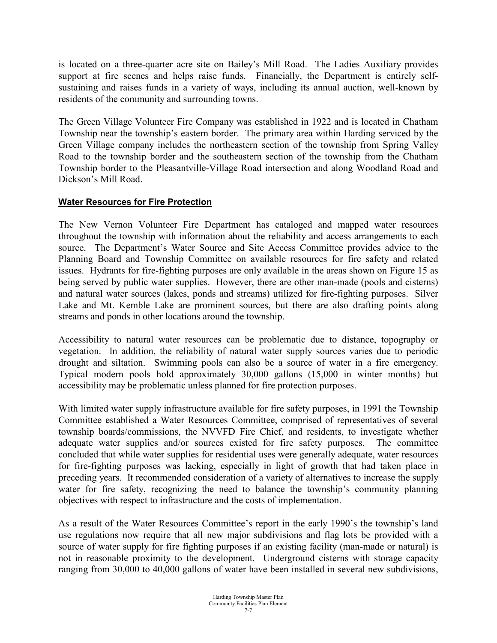is located on a three-quarter acre site on Bailey's Mill Road. The Ladies Auxiliary provides support at fire scenes and helps raise funds. Financially, the Department is entirely selfsustaining and raises funds in a variety of ways, including its annual auction, well-known by residents of the community and surrounding towns.

The Green Village Volunteer Fire Company was established in 1922 and is located in Chatham Township near the township's eastern border. The primary area within Harding serviced by the Green Village company includes the northeastern section of the township from Spring Valley Road to the township border and the southeastern section of the township from the Chatham Township border to the Pleasantville-Village Road intersection and along Woodland Road and Dickson's Mill Road.

### **Water Resources for Fire Protection**

The New Vernon Volunteer Fire Department has cataloged and mapped water resources throughout the township with information about the reliability and access arrangements to each source. The Department's Water Source and Site Access Committee provides advice to the Planning Board and Township Committee on available resources for fire safety and related issues. Hydrants for fire-fighting purposes are only available in the areas shown on Figure 15 as being served by public water supplies. However, there are other man-made (pools and cisterns) and natural water sources (lakes, ponds and streams) utilized for fire-fighting purposes. Silver Lake and Mt. Kemble Lake are prominent sources, but there are also drafting points along streams and ponds in other locations around the township.

Accessibility to natural water resources can be problematic due to distance, topography or vegetation. In addition, the reliability of natural water supply sources varies due to periodic drought and siltation. Swimming pools can also be a source of water in a fire emergency. Typical modern pools hold approximately 30,000 gallons (15,000 in winter months) but accessibility may be problematic unless planned for fire protection purposes.

With limited water supply infrastructure available for fire safety purposes, in 1991 the Township Committee established a Water Resources Committee, comprised of representatives of several township boards/commissions, the NVVFD Fire Chief, and residents, to investigate whether adequate water supplies and/or sources existed for fire safety purposes. The committee concluded that while water supplies for residential uses were generally adequate, water resources for fire-fighting purposes was lacking, especially in light of growth that had taken place in preceding years. It recommended consideration of a variety of alternatives to increase the supply water for fire safety, recognizing the need to balance the township's community planning objectives with respect to infrastructure and the costs of implementation.

As a result of the Water Resources Committee's report in the early 1990's the township's land use regulations now require that all new major subdivisions and flag lots be provided with a source of water supply for fire fighting purposes if an existing facility (man-made or natural) is not in reasonable proximity to the development. Underground cisterns with storage capacity ranging from 30,000 to 40,000 gallons of water have been installed in several new subdivisions,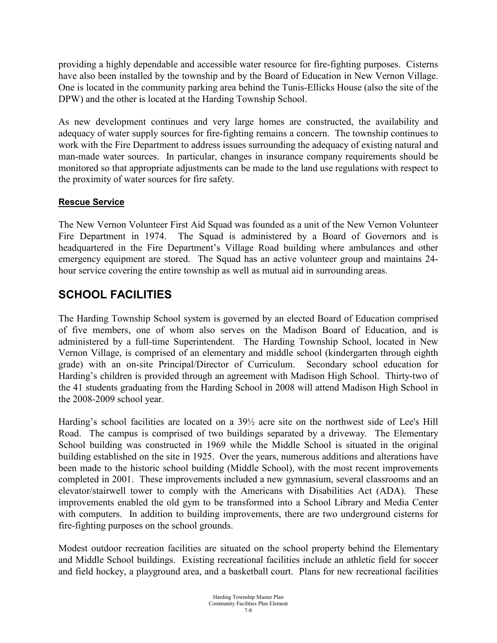providing a highly dependable and accessible water resource for fire-fighting purposes. Cisterns have also been installed by the township and by the Board of Education in New Vernon Village. One is located in the community parking area behind the Tunis-Ellicks House (also the site of the DPW) and the other is located at the Harding Township School.

As new development continues and very large homes are constructed, the availability and adequacy of water supply sources for fire-fighting remains a concern. The township continues to work with the Fire Department to address issues surrounding the adequacy of existing natural and man-made water sources. In particular, changes in insurance company requirements should be monitored so that appropriate adjustments can be made to the land use regulations with respect to the proximity of water sources for fire safety.

### **Rescue Service**

The New Vernon Volunteer First Aid Squad was founded as a unit of the New Vernon Volunteer Fire Department in 1974. The Squad is administered by a Board of Governors and is headquartered in the Fire Department's Village Road building where ambulances and other emergency equipment are stored. The Squad has an active volunteer group and maintains 24 hour service covering the entire township as well as mutual aid in surrounding areas.

## **SCHOOL FACILITIES**

The Harding Township School system is governed by an elected Board of Education comprised of five members, one of whom also serves on the Madison Board of Education, and is administered by a full-time Superintendent. The Harding Township School, located in New Vernon Village, is comprised of an elementary and middle school (kindergarten through eighth grade) with an on-site Principal/Director of Curriculum. Secondary school education for Harding's children is provided through an agreement with Madison High School. Thirty-two of the 41 students graduating from the Harding School in 2008 will attend Madison High School in the 2008-2009 school year.

Harding's school facilities are located on a 39½ acre site on the northwest side of Lee's Hill Road. The campus is comprised of two buildings separated by a driveway. The Elementary School building was constructed in 1969 while the Middle School is situated in the original building established on the site in 1925. Over the years, numerous additions and alterations have been made to the historic school building (Middle School), with the most recent improvements completed in 2001. These improvements included a new gymnasium, several classrooms and an elevator/stairwell tower to comply with the Americans with Disabilities Act (ADA). These improvements enabled the old gym to be transformed into a School Library and Media Center with computers. In addition to building improvements, there are two underground cisterns for fire-fighting purposes on the school grounds.

Modest outdoor recreation facilities are situated on the school property behind the Elementary and Middle School buildings. Existing recreational facilities include an athletic field for soccer and field hockey, a playground area, and a basketball court. Plans for new recreational facilities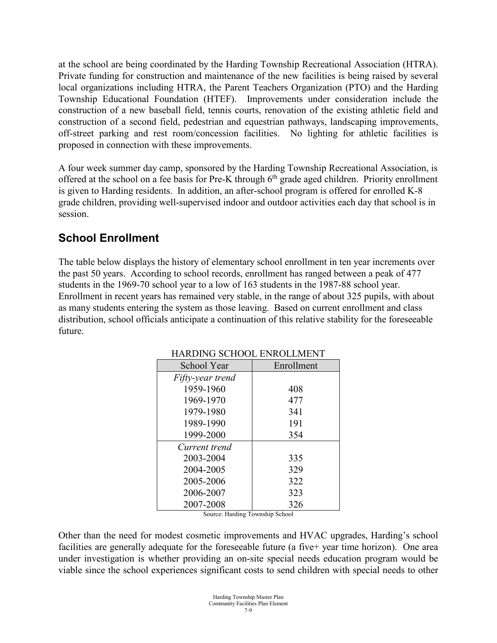at the school are being coordinated by the Harding Township Recreational Association (HTRA). Private funding for construction and maintenance of the new facilities is being raised by several local organizations including HTRA, the Parent Teachers Organization (PTO) and the Harding Township Educational Foundation (HTEF). Improvements under consideration include the construction of a new baseball field, tennis courts, renovation of the existing athletic field and construction of a second field, pedestrian and equestrian pathways, landscaping improvements, off-street parking and rest room/concession facilities. No lighting for athletic facilities is proposed in connection with these improvements.

A four week summer day camp, sponsored by the Harding Township Recreational Association, is offered at the school on a fee basis for Pre-K through 6<sup>th</sup> grade aged children. Priority enrollment is given to Harding residents. In addition, an after-school program is offered for enrolled K-8 grade children, providing well-supervised indoor and outdoor activities each day that school is in session.

# **School Enrollment**

The table below displays the history of elementary school enrollment in ten year increments over the past 50 years. According to school records, enrollment has ranged between a peak of 477 students in the 1969-70 school year to a low of 163 students in the 1987-88 school year. Enrollment in recent years has remained very stable, in the range of about 325 pupils, with about as many students entering the system as those leaving. Based on current enrollment and class distribution, school officials anticipate a continuation of this relative stability for the foreseeable future.

| Enrollment |  |
|------------|--|
|            |  |
| 408        |  |
| 477        |  |
| 341        |  |
| 191        |  |
| 354        |  |
|            |  |
| 335        |  |
| 329        |  |
| 322        |  |
| 323        |  |
| 326        |  |
|            |  |

HARDING SCHOOL ENROLLMENT

Source: Harding Township School

Other than the need for modest cosmetic improvements and HVAC upgrades, Harding's school facilities are generally adequate for the foreseeable future (a five+ year time horizon). One area under investigation is whether providing an on-site special needs education program would be viable since the school experiences significant costs to send children with special needs to other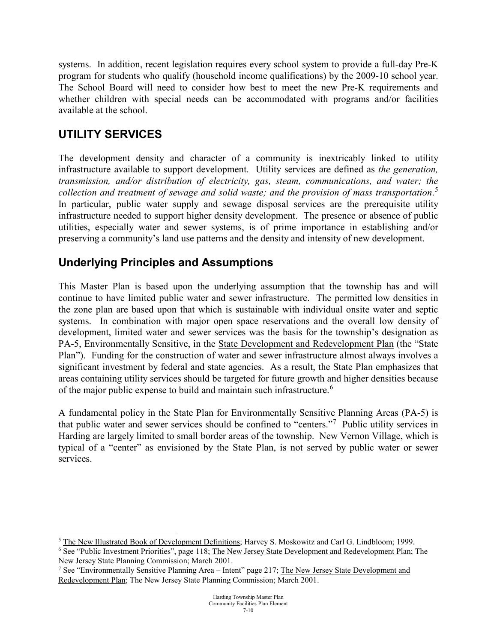systems. In addition, recent legislation requires every school system to provide a full-day Pre-K program for students who qualify (household income qualifications) by the 2009-10 school year. The School Board will need to consider how best to meet the new Pre-K requirements and whether children with special needs can be accommodated with programs and/or facilities available at the school.

### **UTILITY SERVICES**

The development density and character of a community is inextricably linked to utility infrastructure available to support development. Utility services are defined as *the generation, transmission, and/or distribution of electricity, gas, steam, communications, and water; the collection and treatment of sewage and solid waste; and the provision of mass transportation*. [5](#page-9-0) In particular, public water supply and sewage disposal services are the prerequisite utility infrastructure needed to support higher density development. The presence or absence of public utilities, especially water and sewer systems, is of prime importance in establishing and/or preserving a community's land use patterns and the density and intensity of new development.

### **Underlying Principles and Assumptions**

This Master Plan is based upon the underlying assumption that the township has and will continue to have limited public water and sewer infrastructure. The permitted low densities in the zone plan are based upon that which is sustainable with individual onsite water and septic systems. In combination with major open space reservations and the overall low density of development, limited water and sewer services was the basis for the township's designation as PA-5, Environmentally Sensitive, in the State Development and Redevelopment Plan (the "State Plan"). Funding for the construction of water and sewer infrastructure almost always involves a significant investment by federal and state agencies. As a result, the State Plan emphasizes that areas containing utility services should be targeted for future growth and higher densities because of the major public expense to build and maintain such infrastructure.<sup>[6](#page-9-1)</sup>

A fundamental policy in the State Plan for Environmentally Sensitive Planning Areas (PA-5) is that public water and sewer services should be confined to "centers."[7](#page-9-2) Public utility services in Harding are largely limited to small border areas of the township. New Vernon Village, which is typical of a "center" as envisioned by the State Plan, is not served by public water or sewer services.

<span id="page-9-0"></span><sup>&</sup>lt;sup>5</sup> The New Illustrated Book of Development Definitions; Harvey S. Moskowitz and Carl G. Lindbloom; 1999.

<span id="page-9-1"></span><sup>6</sup> See "Public Investment Priorities", page 118; The New Jersey State Development and Redevelopment Plan; The New Jersey State Planning Commission; March 2001.

<span id="page-9-2"></span><sup>7</sup> See "Environmentally Sensitive Planning Area – Intent" page 217; The New Jersey State Development and Redevelopment Plan; The New Jersey State Planning Commission; March 2001.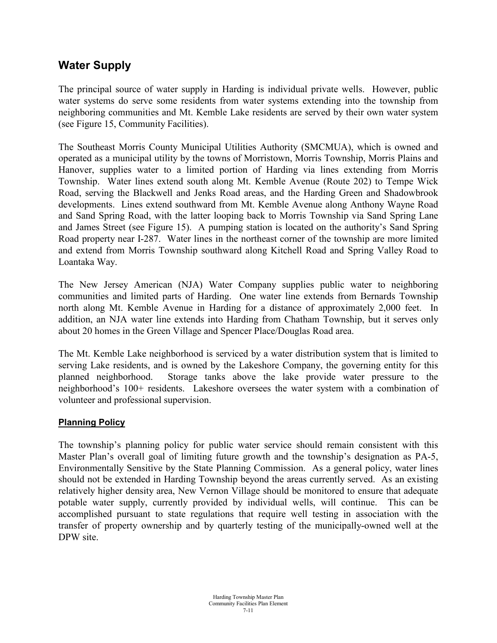## **Water Supply**

The principal source of water supply in Harding is individual private wells. However, public water systems do serve some residents from water systems extending into the township from neighboring communities and Mt. Kemble Lake residents are served by their own water system (see Figure 15, Community Facilities).

The Southeast Morris County Municipal Utilities Authority (SMCMUA), which is owned and operated as a municipal utility by the towns of Morristown, Morris Township, Morris Plains and Hanover, supplies water to a limited portion of Harding via lines extending from Morris Township. Water lines extend south along Mt. Kemble Avenue (Route 202) to Tempe Wick Road, serving the Blackwell and Jenks Road areas, and the Harding Green and Shadowbrook developments. Lines extend southward from Mt. Kemble Avenue along Anthony Wayne Road and Sand Spring Road, with the latter looping back to Morris Township via Sand Spring Lane and James Street (see Figure 15). A pumping station is located on the authority's Sand Spring Road property near I-287. Water lines in the northeast corner of the township are more limited and extend from Morris Township southward along Kitchell Road and Spring Valley Road to Loantaka Way.

The New Jersey American (NJA) Water Company supplies public water to neighboring communities and limited parts of Harding. One water line extends from Bernards Township north along Mt. Kemble Avenue in Harding for a distance of approximately 2,000 feet. In addition, an NJA water line extends into Harding from Chatham Township, but it serves only about 20 homes in the Green Village and Spencer Place/Douglas Road area.

The Mt. Kemble Lake neighborhood is serviced by a water distribution system that is limited to serving Lake residents, and is owned by the Lakeshore Company, the governing entity for this planned neighborhood.Storage tanks above the lake provide water pressure to the neighborhood's 100+ residents. Lakeshore oversees the water system with a combination of volunteer and professional supervision.

#### **Planning Policy**

The township's planning policy for public water service should remain consistent with this Master Plan's overall goal of limiting future growth and the township's designation as PA-5, Environmentally Sensitive by the State Planning Commission. As a general policy, water lines should not be extended in Harding Township beyond the areas currently served. As an existing relatively higher density area, New Vernon Village should be monitored to ensure that adequate potable water supply, currently provided by individual wells, will continue. This can be accomplished pursuant to state regulations that require well testing in association with the transfer of property ownership and by quarterly testing of the municipally-owned well at the DPW site.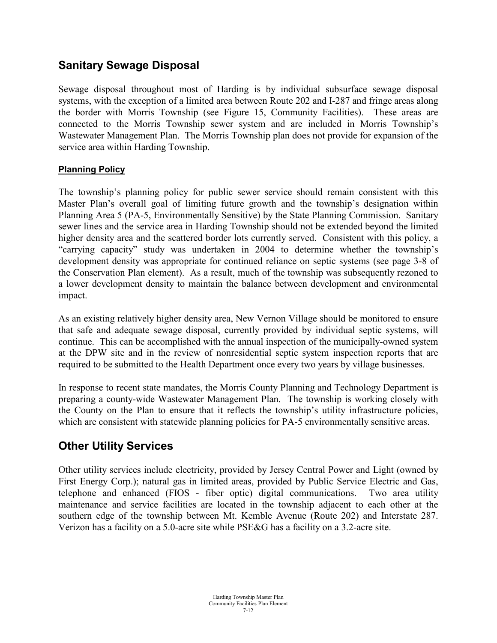## **Sanitary Sewage Disposal**

Sewage disposal throughout most of Harding is by individual subsurface sewage disposal systems, with the exception of a limited area between Route 202 and I-287 and fringe areas along the border with Morris Township (see Figure 15, Community Facilities). These areas are connected to the Morris Township sewer system and are included in Morris Township's Wastewater Management Plan. The Morris Township plan does not provide for expansion of the service area within Harding Township.

### **Planning Policy**

The township's planning policy for public sewer service should remain consistent with this Master Plan's overall goal of limiting future growth and the township's designation within Planning Area 5 (PA-5, Environmentally Sensitive) by the State Planning Commission. Sanitary sewer lines and the service area in Harding Township should not be extended beyond the limited higher density area and the scattered border lots currently served. Consistent with this policy, a "carrying capacity" study was undertaken in 2004 to determine whether the township's development density was appropriate for continued reliance on septic systems (see page 3-8 of the Conservation Plan element). As a result, much of the township was subsequently rezoned to a lower development density to maintain the balance between development and environmental impact.

As an existing relatively higher density area, New Vernon Village should be monitored to ensure that safe and adequate sewage disposal, currently provided by individual septic systems, will continue. This can be accomplished with the annual inspection of the municipally-owned system at the DPW site and in the review of nonresidential septic system inspection reports that are required to be submitted to the Health Department once every two years by village businesses.

In response to recent state mandates, the Morris County Planning and Technology Department is preparing a county-wide Wastewater Management Plan. The township is working closely with the County on the Plan to ensure that it reflects the township's utility infrastructure policies, which are consistent with statewide planning policies for PA-5 environmentally sensitive areas.

## **Other Utility Services**

Other utility services include electricity, provided by Jersey Central Power and Light (owned by First Energy Corp.); natural gas in limited areas, provided by Public Service Electric and Gas, telephone and enhanced (FIOS - fiber optic) digital communications. Two area utility maintenance and service facilities are located in the township adjacent to each other at the southern edge of the township between Mt. Kemble Avenue (Route 202) and Interstate 287. Verizon has a facility on a 5.0-acre site while PSE&G has a facility on a 3.2-acre site.